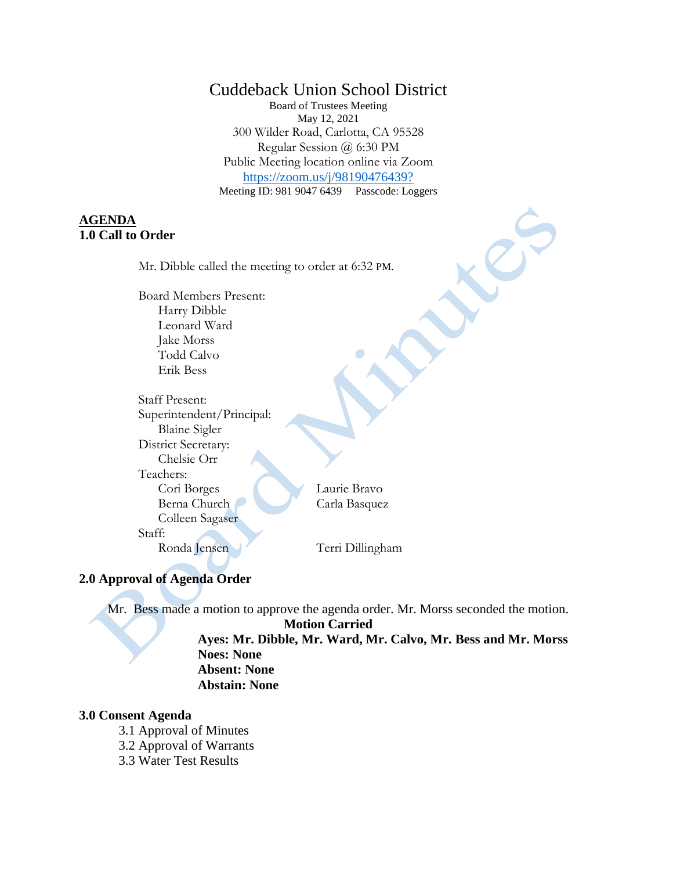# Cuddeback Union School District

Board of Trustees Meeting May 12, 2021 300 Wilder Road, Carlotta, CA 95528 Regular Session @ 6:30 PM Public Meeting location online via Zoom <https://zoom.us/j/98190476439?> Meeting ID: 981 9047 6439 Passcode: Loggers

# **AGENDA 1.0 Call to Order**

Mr. Dibble called the meeting to order at 6:32 PM.

Board Members Present: Harry Dibble Leonard Ward Jake Morss Todd Calvo Erik Bess

Staff Present: Superintendent/Principal: Blaine Sigler District Secretary: Chelsie Orr Teachers: Cori Borges Laurie Bravo Berna Church Carla Basquez Colleen Sagaser Staff:

Ronda Jensen Terri Dillingham

# **2.0 Approval of Agenda Order**

Mr. Bess made a motion to approve the agenda order. Mr. Morss seconded the motion.

**Motion Carried**

**Ayes: Mr. Dibble, Mr. Ward, Mr. Calvo, Mr. Bess and Mr. Morss Noes: None Absent: None**

**Abstain: None**

#### **3.0 Consent Agenda**

- 3.1 Approval of Minutes
- 3.2 Approval of Warrants
- 3.3 Water Test Results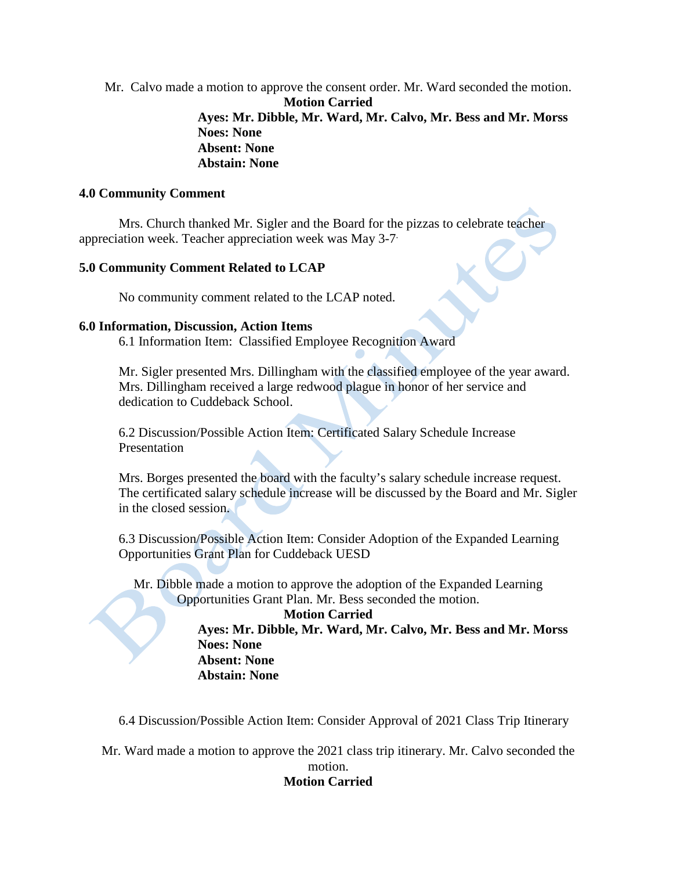Mr. Calvo made a motion to approve the consent order. Mr. Ward seconded the motion. **Motion Carried Ayes: Mr. Dibble, Mr. Ward, Mr. Calvo, Mr. Bess and Mr. Morss Noes: None Absent: None Abstain: None**

#### **4.0 Community Comment**

Mrs. Church thanked Mr. Sigler and the Board for the pizzas to celebrate teacher appreciation week. Teacher appreciation week was May 3-7.

#### **5.0 Community Comment Related to LCAP**

No community comment related to the LCAP noted.

#### **6.0 Information, Discussion, Action Items**

6.1 Information Item: Classified Employee Recognition Award

Mr. Sigler presented Mrs. Dillingham with the classified employee of the year award. Mrs. Dillingham received a large redwood plague in honor of her service and dedication to Cuddeback School.

6.2 Discussion/Possible Action Item: Certificated Salary Schedule Increase Presentation

Mrs. Borges presented the board with the faculty's salary schedule increase request. The certificated salary schedule increase will be discussed by the Board and Mr. Sigler in the closed session.

6.3 Discussion/Possible Action Item: Consider Adoption of the Expanded Learning Opportunities Grant Plan for Cuddeback UESD

Mr. Dibble made a motion to approve the adoption of the Expanded Learning Opportunities Grant Plan. Mr. Bess seconded the motion.

#### **Motion Carried**

**Ayes: Mr. Dibble, Mr. Ward, Mr. Calvo, Mr. Bess and Mr. Morss Noes: None Absent: None Abstain: None**

6.4 Discussion/Possible Action Item: Consider Approval of 2021 Class Trip Itinerary

Mr. Ward made a motion to approve the 2021 class trip itinerary. Mr. Calvo seconded the motion.

#### **Motion Carried**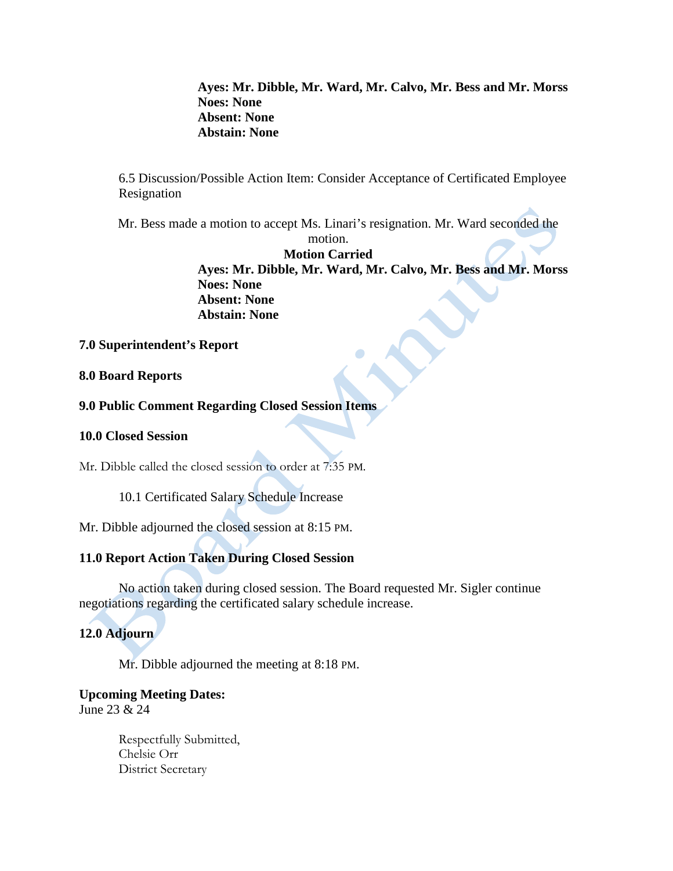**Ayes: Mr. Dibble, Mr. Ward, Mr. Calvo, Mr. Bess and Mr. Morss Noes: None Absent: None Abstain: None**

6.5 Discussion/Possible Action Item: Consider Acceptance of Certificated Employee Resignation

Mr. Bess made a motion to accept Ms. Linari's resignation. Mr. Ward seconded the

motion. **Motion Carried Ayes: Mr. Dibble, Mr. Ward, Mr. Calvo, Mr. Bess and Mr. Morss Noes: None Absent: None Abstain: None**

### **7.0 Superintendent's Report**

### **8.0 Board Reports**

### **9.0 Public Comment Regarding Closed Session Items**

### **10.0 Closed Session**

Mr. Dibble called the closed session to order at 7:35 PM.

10.1 Certificated Salary Schedule Increase

Mr. Dibble adjourned the closed session at 8:15 PM.

# **11.0 Report Action Taken During Closed Session**

No action taken during closed session. The Board requested Mr. Sigler continue negotiations regarding the certificated salary schedule increase.

# **12.0 Adjourn**

Mr. Dibble adjourned the meeting at 8:18 PM.

# **Upcoming Meeting Dates:**

June 23 & 24

Respectfully Submitted, Chelsie Orr District Secretary